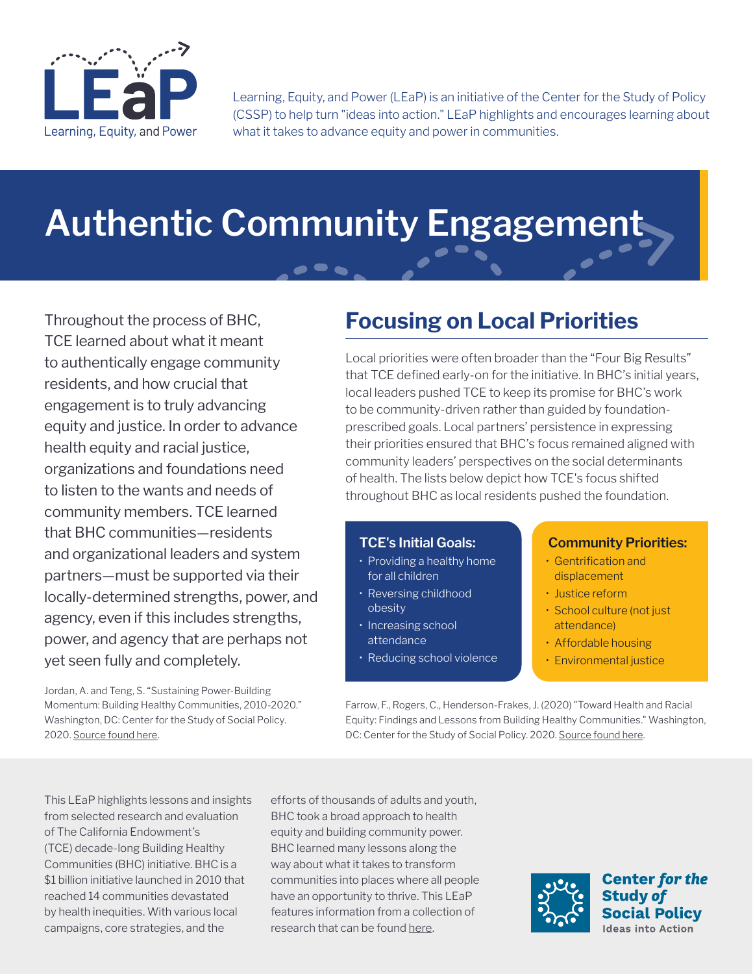

Learning, Equity, and Power (LEaP) is an initiative of the Center for the Study of Policy (CSSP) to help turn "ideas into action." LEaP highlights and encourages learning about what it takes to advance equity and power in communities.

# **Authentic Community Engagement**

Throughout the process of BHC, TCE learned about what it meant to authentically engage community residents, and how crucial that engagement is to truly advancing equity and justice. In order to advance health equity and racial justice, organizations and foundations need to listen to the wants and needs of community members. TCE learned that BHC communities—residents and organizational leaders and system partners—must be supported via their locally-determined strengths, power, and agency, even if this includes strengths, power, and agency that are perhaps not yet seen fully and completely.

Jordan, A. and Teng, S. "Sustaining Power-Building Momentum: Building Healthy Communities, 2010-2020." Washington, DC: Center for the Study of Social Policy. 2020. Source found [here](https://www.calendow.org/app/uploads/2021/09/2021-Sustaining-Power-Building-Report-Final.pdf).

## **Focusing on Local Priorities**

Local priorities were often broader than the "Four Big Results" that TCE defined early-on for the initiative. In BHC's initial years, local leaders pushed TCE to keep its promise for BHC's work to be community-driven rather than guided by foundationprescribed goals. Local partners' persistence in expressing their priorities ensured that BHC's focus remained aligned with community leaders' perspectives on the social determinants of health. The lists below depict how TCE's focus shifted throughout BHC as local residents pushed the foundation.

### **TCE's Initial Goals:**

- Providing a healthy home for all children
- Reversing childhood obesity
- Increasing school attendance
- Reducing school violence

#### **Community Priorities:**

- Gentrification and displacement
- Justice reform
- School culture (not just attendance)
- Affordable housing
- Environmental justice

Farrow, F., Rogers, C., Henderson-Frakes, J. (2020) "Toward Health and Racial Equity: Findings and Lessons from Building Healthy Communities." Washington, DC: Center for the Study of Social Policy. 2020. Source found [here](https://www.calendow.org/app/uploads/2021/03/Toward-Health-and-Racial-Equity-FULL-REPORT-.pdf).

This LEaP highlights lessons and insights from selected research and evaluation of The California Endowment's (TCE) decade-long Building Healthy Communities (BHC) initiative. BHC is a \$1 billion initiative launched in 2010 that reached 14 communities devastated by health inequities. With various local campaigns, core strategies, and the

efforts of thousands of adults and youth, BHC took a broad approach to health equity and building community power. BHC learned many lessons along the way about what it takes to transform communities into places where all people have an opportunity to thrive. This LEaP features information from a collection of research that can be found [here.](https://www.calendow.org/learning-and-engagement/)